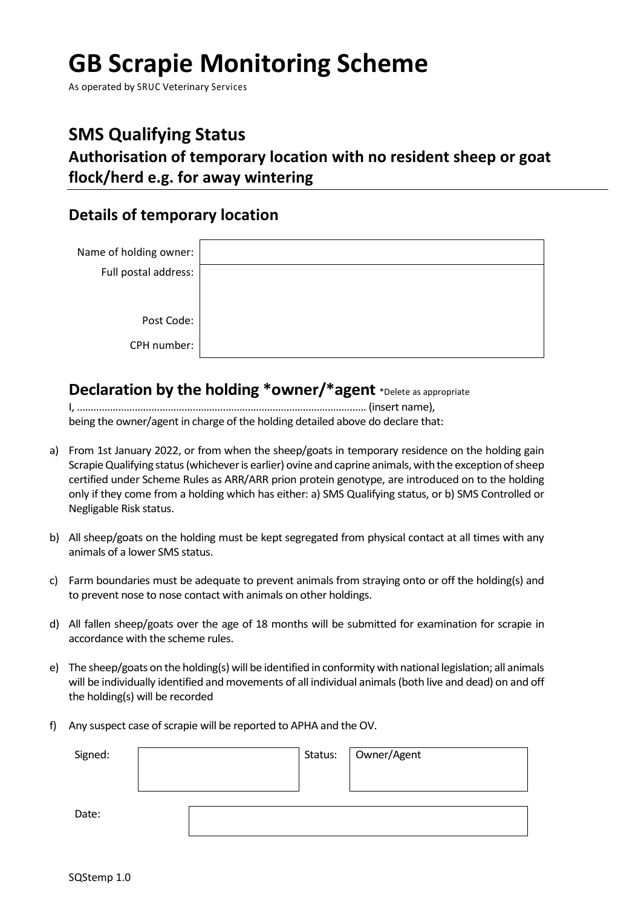# **GB Scrapie Monitoring Scheme**

As operated by SRUC Veterinary Services

## **SMS Qualifying Status**

**Authorisation of temporary location with no resident sheep or goat flock/herd e.g. for away wintering**

### **Details of temporary location**

| Name of holding owner:<br>Full postal address: |  |
|------------------------------------------------|--|
| Post Code:                                     |  |
| CPH number:                                    |  |

### **Declaration by the holding \*owner/\*agent** \*Delete as appropriate

I, …………………………………………………………………………………………… (insert name), being the owner/agent in charge of the holding detailed above do declare that:

- a) From 1st January 2022, or from when the sheep/goats in temporary residence on the holding gain Scrapie Qualifying status (whichever is earlier) ovine and caprine animals, with the exception of sheep certified under Scheme Rules as ARR/ARR prion protein genotype, are introduced on to the holding only if they come from a holding which has either: a) SMS Qualifying status, or b) SMS Controlled or Negligable Risk status.
- b) All sheep/goats on the holding must be kept segregated from physical contact at all times with any animals of a lower SMS status.
- c) Farm boundaries must be adequate to prevent animals from straying onto or off the holding(s) and to prevent nose to nose contact with animals on other holdings.
- d) All fallen sheep/goats over the age of 18 months will be submitted for examination for scrapie in accordance with the scheme rules.
- e) The sheep/goats on the holding(s) will be identified in conformity with national legislation; all animals will be individually identified and movements of all individual animals (both live and dead) on and off the holding(s) will be recorded
- f) Any suspect case of scrapie will be reported to APHA and the OV.

| Signed: |  | Status:   Owner/Agent |
|---------|--|-----------------------|
|         |  |                       |
|         |  |                       |
| Date:   |  |                       |
|         |  |                       |